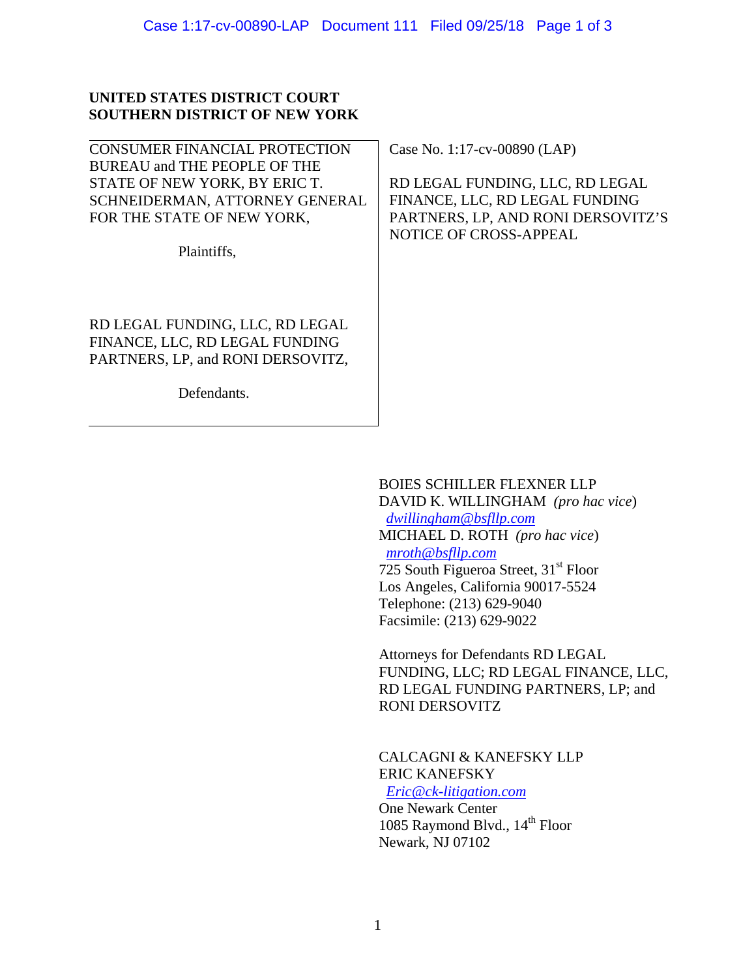## **UNITED STATES DISTRICT COURT SOUTHERN DISTRICT OF NEW YORK**

| CONSUMER FINANCIAL PROTECTION     | Case No. 1:17-cv-00890 (LAP)       |
|-----------------------------------|------------------------------------|
| BUREAU and THE PEOPLE OF THE      |                                    |
| STATE OF NEW YORK, BY ERIC T.     | RD LEGAL FUNDING, LLC, RD LEGAL    |
| SCHNEIDERMAN, ATTORNEY GENERAL    | FINANCE, LLC, RD LEGAL FUNDING     |
| FOR THE STATE OF NEW YORK,        | PARTNERS, LP, AND RONI DERSOVITZ'S |
|                                   | <b>NOTICE OF CROSS-APPEAL</b>      |
| Plaintiffs,                       |                                    |
|                                   |                                    |
|                                   |                                    |
|                                   |                                    |
| RD LEGAL FUNDING, LLC, RD LEGAL   |                                    |
| FINANCE, LLC, RD LEGAL FUNDING    |                                    |
| PARTNERS, LP, and RONI DERSOVITZ, |                                    |
|                                   |                                    |
| Defendants.                       |                                    |
|                                   |                                    |
|                                   |                                    |

## BOIES SCHILLER FLEXNER LLP

DAVID K. WILLINGHAM *(pro hac vice*) *dwillingham@bsfllp.com* MICHAEL D. ROTH *(pro hac vice*) *mroth@bsfllp.com*  $725$  South Figueroa Street,  $31<sup>st</sup>$  Floor Los Angeles, California 90017-5524 Telephone: (213) 629-9040 Facsimile: (213) 629-9022

Attorneys for Defendants RD LEGAL FUNDING, LLC; RD LEGAL FINANCE, LLC, RD LEGAL FUNDING PARTNERS, LP; and RONI DERSOVITZ

CALCAGNI & KANEFSKY LLP ERIC KANEFSKY

 *Eric@ck-litigation.com* One Newark Center 1085 Raymond Blvd., 14<sup>th</sup> Floor Newark, NJ 07102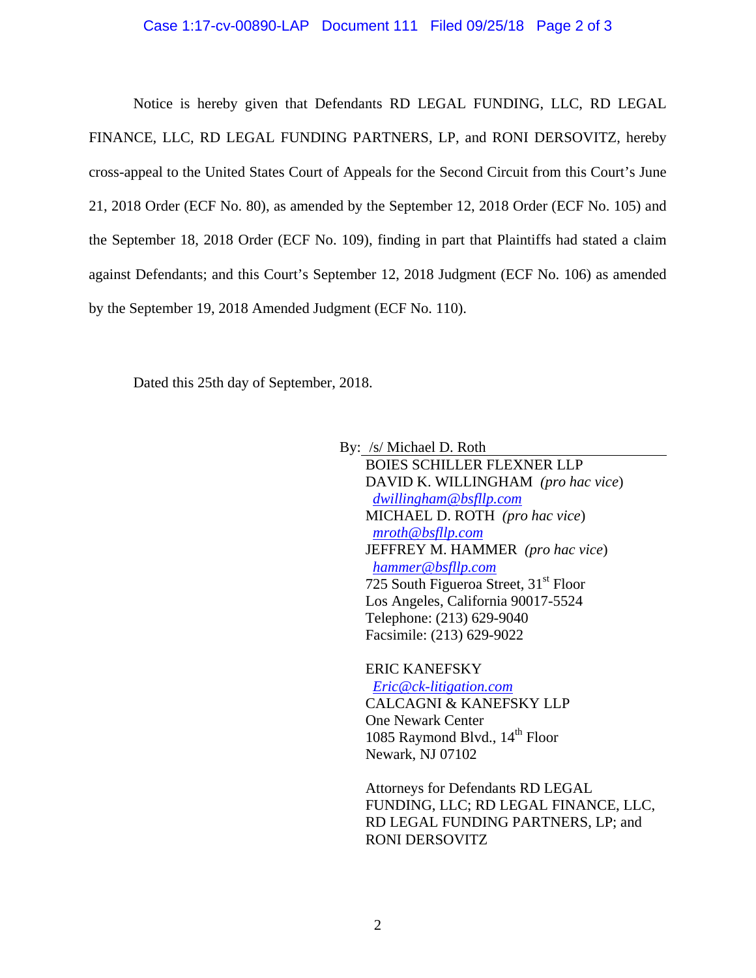## Case 1:17-cv-00890-LAP Document 111 Filed 09/25/18 Page 2 of 3

 Notice is hereby given that Defendants RD LEGAL FUNDING, LLC, RD LEGAL FINANCE, LLC, RD LEGAL FUNDING PARTNERS, LP, and RONI DERSOVITZ, hereby cross-appeal to the United States Court of Appeals for the Second Circuit from this Court's June 21, 2018 Order (ECF No. 80), as amended by the September 12, 2018 Order (ECF No. 105) and the September 18, 2018 Order (ECF No. 109), finding in part that Plaintiffs had stated a claim against Defendants; and this Court's September 12, 2018 Judgment (ECF No. 106) as amended by the September 19, 2018 Amended Judgment (ECF No. 110).

Dated this 25th day of September, 2018.

By: /s/ Michael D. Roth

BOIES SCHILLER FLEXNER LLP DAVID K. WILLINGHAM *(pro hac vice*) *dwillingham@bsfllp.com* MICHAEL D. ROTH *(pro hac vice*) *mroth@bsfllp.com* JEFFREY M. HAMMER *(pro hac vice*) *hammer@bsfllp.com* 725 South Figueroa Street,  $31<sup>st</sup>$  Floor Los Angeles, California 90017-5524 Telephone: (213) 629-9040 Facsimile: (213) 629-9022

ERIC KANEFSKY  *Eric@ck-litigation.com* CALCAGNI & KANEFSKY LLP One Newark Center 1085 Raymond Blvd., 14<sup>th</sup> Floor Newark, NJ 07102

Attorneys for Defendants RD LEGAL FUNDING, LLC; RD LEGAL FINANCE, LLC, RD LEGAL FUNDING PARTNERS, LP; and RONI DERSOVITZ